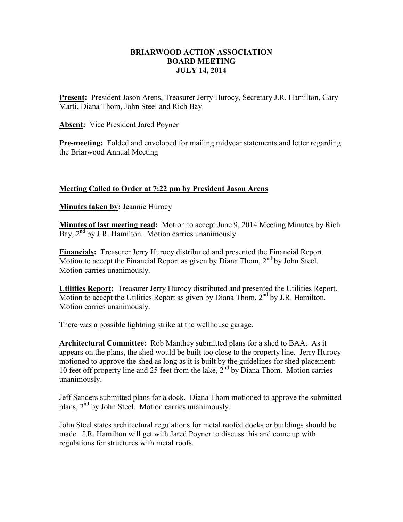## **BRIARWOOD ACTION ASSOCIATION BOARD MEETING JULY 14, 2014**

**Present:** President Jason Arens, Treasurer Jerry Hurocy, Secretary J.R. Hamilton, Gary Marti, Diana Thom, John Steel and Rich Bay

**Absent:** Vice President Jared Poyner

**Pre-meeting:** Folded and enveloped for mailing midyear statements and letter regarding the Briarwood Annual Meeting

## **Meeting Called to Order at 7:22 pm by President Jason Arens**

**Minutes taken by: Jeannie Hurocy** 

**Minutes of last meeting read:** Motion to accept June 9, 2014 Meeting Minutes by Rich Bay,  $2<sup>nd</sup>$  by J.R. Hamilton. Motion carries unanimously.

**Financials:** Treasurer Jerry Hurocy distributed and presented the Financial Report. Motion to accept the Financial Report as given by Diana Thom,  $2<sup>nd</sup>$  by John Steel. Motion carries unanimously.

**Utilities Report:** Treasurer Jerry Hurocy distributed and presented the Utilities Report. Motion to accept the Utilities Report as given by Diana Thom,  $2<sup>nd</sup>$  by J.R. Hamilton. Motion carries unanimously.

There was a possible lightning strike at the wellhouse garage.

**Architectural Committee:** Rob Manthey submitted plans for a shed to BAA. As it appears on the plans, the shed would be built too close to the property line. Jerry Hurocy motioned to approve the shed as long as it is built by the guidelines for shed placement: 10 feet off property line and 25 feet from the lake,  $2^{nd}$  by Diana Thom. Motion carries unanimously.

Jeff Sanders submitted plans for a dock. Diana Thom motioned to approve the submitted plans,  $2<sup>nd</sup>$  by John Steel. Motion carries unanimously.

John Steel states architectural regulations for metal roofed docks or buildings should be made. J.R. Hamilton will get with Jared Poyner to discuss this and come up with regulations for structures with metal roofs.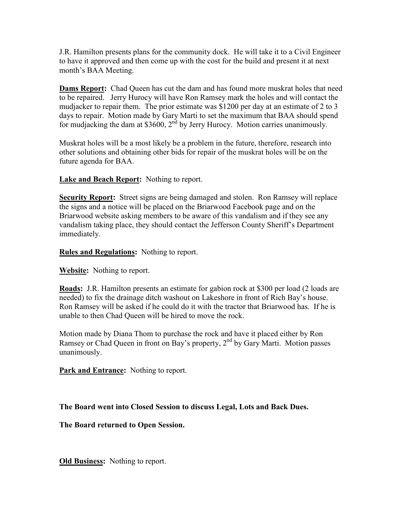J.R. Hamilton presents plans for the community dock. He will take it to a Civil Engineer to have it approved and then come up with the cost for the build and present it at next month's BAA Meeting.

**Dams Report:** Chad Queen has cut the dam and has found more muskrat holes that need to be repaired. Jerry Hurocy will have Ron Ramsey mark the holes and will contact the mudjacker to repair them. The prior estimate was \$1200 per day at an estimate of 2 to 3 days to repair. Motion made by Gary Marti to set the maximum that BAA should spend for mudjacking the dam at \$3600,  $2^{nd}$  by Jerry Hurocy. Motion carries unanimously.

Muskrat holes will be a most likely be a problem in the future, therefore, research into other solutions and obtaining other bids for repair of the muskrat holes will be on the future agenda for BAA.

**Lake and Beach Report:** Nothing to report.

**Security Report:** Street signs are being damaged and stolen. Ron Ramsey will replace the signs and a notice will be placed on the Briarwood Facebook page and on the Briarwood website asking members to be aware of this vandalism and if they see any vandalism taking place, they should contact the Jefferson County Sheriff's Department immediately.

**Rules and Regulations:** Nothing to report.

**Website:** Nothing to report.

**Roads:** J.R. Hamilton presents an estimate for gabion rock at \$300 per load (2 loads are needed) to fix the drainage ditch washout on Lakeshore in front of Rich Bay's house. Ron Ramsey will be asked if he could do it with the tractor that Briarwood has. If he is unable to then Chad Queen will be hired to move the rock.

Motion made by Diana Thom to purchase the rock and have it placed either by Ron Ramsey or Chad Queen in front on Bay's property, 2<sup>nd</sup> by Gary Marti. Motion passes unanimously.

**Park and Entrance:** Nothing to report.

**The Board went into Closed Session to discuss Legal, Lots and Back Dues.** 

**The Board returned to Open Session.** 

**Old Business:** Nothing to report.